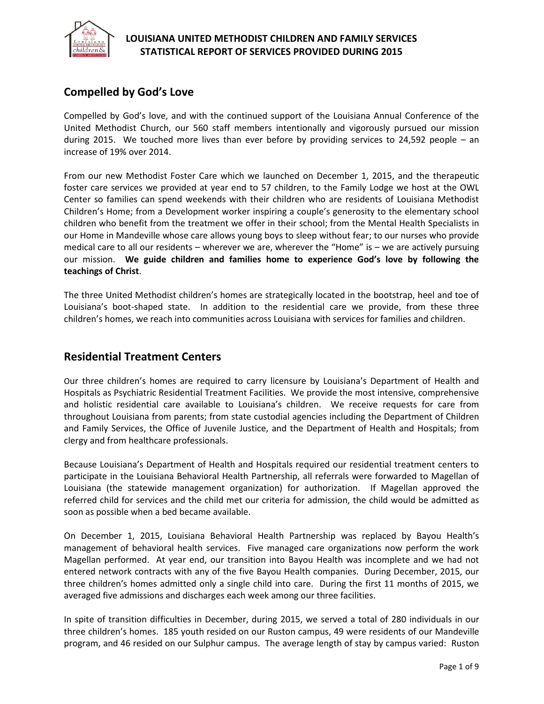

## **Compelled by God's Love**

Compelled by God's love, and with the continued support of the Louisiana Annual Conference of the United Methodist Church, our 560 staff members intentionally and vigorously pursued our mission during 2015. We touched more lives than ever before by providing services to 24,592 people – an increase of 19% over 2014.

From our new Methodist Foster Care which we launched on December 1, 2015, and the therapeutic foster care services we provided at year end to 57 children, to the Family Lodge we host at the OWL Center so families can spend weekends with their children who are residents of Louisiana Methodist Children's Home; from a Development worker inspiring a couple's generosity to the elementary school children who benefit from the treatment we offer in their school; from the Mental Health Specialists in our Home in Mandeville whose care allows young boys to sleep without fear; to our nurses who provide medical care to all our residents – wherever we are, wherever the "Home" is – we are actively pursuing our mission. **We guide children and families home to experience God's love by following the teachings of Christ**.

The three United Methodist children's homes are strategically located in the bootstrap, heel and toe of Louisiana's boot-shaped state. In addition to the residential care we provide, from these three children's homes, we reach into communities across Louisiana with services for families and children.

### **Residential Treatment Centers**

Our three children's homes are required to carry licensure by Louisiana's Department of Health and Hospitals as Psychiatric Residential Treatment Facilities. We provide the most intensive, comprehensive and holistic residential care available to Louisiana's children. We receive requests for care from throughout Louisiana from parents; from state custodial agencies including the Department of Children and Family Services, the Office of Juvenile Justice, and the Department of Health and Hospitals; from clergy and from healthcare professionals.

Because Louisiana's Department of Health and Hospitals required our residential treatment centers to participate in the Louisiana Behavioral Health Partnership, all referrals were forwarded to Magellan of Louisiana (the statewide management organization) for authorization. If Magellan approved the referred child for services and the child met our criteria for admission, the child would be admitted as soon as possible when a bed became available.

On December 1, 2015, Louisiana Behavioral Health Partnership was replaced by Bayou Health's management of behavioral health services. Five managed care organizations now perform the work Magellan performed. At year end, our transition into Bayou Health was incomplete and we had not entered network contracts with any of the five Bayou Health companies. During December, 2015, our three children's homes admitted only a single child into care. During the first 11 months of 2015, we averaged five admissions and discharges each week among our three facilities.

In spite of transition difficulties in December, during 2015, we served a total of 280 individuals in our three children's homes. 185 youth resided on our Ruston campus, 49 were residents of our Mandeville program, and 46 resided on our Sulphur campus. The average length of stay by campus varied: Ruston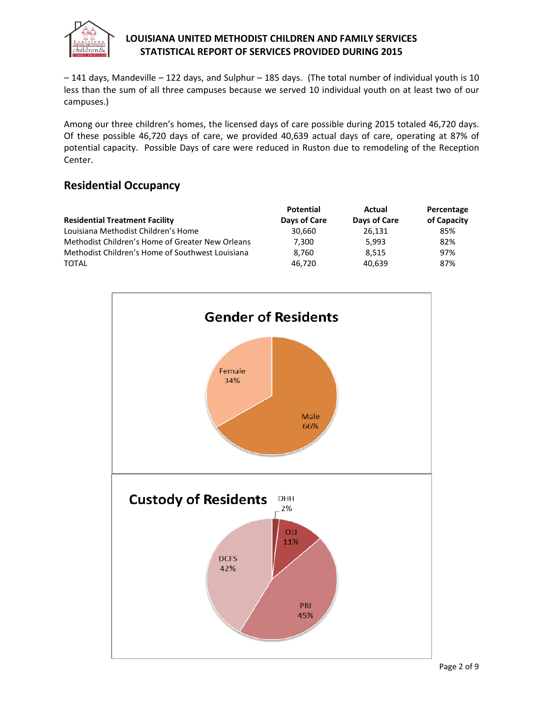

– 141 days, Mandeville – 122 days, and Sulphur – 185 days. (The total number of individual youth is 10 less than the sum of all three campuses because we served 10 individual youth on at least two of our campuses.)

Among our three children's homes, the licensed days of care possible during 2015 totaled 46,720 days. Of these possible 46,720 days of care, we provided 40,639 actual days of care, operating at 87% of potential capacity. Possible Days of care were reduced in Ruston due to remodeling of the Reception Center.

## **Residential Occupancy**

|                                                  | <b>Potential</b> | Actual       | Percentage  |  |
|--------------------------------------------------|------------------|--------------|-------------|--|
| <b>Residential Treatment Facility</b>            | Days of Care     | Days of Care | of Capacity |  |
| Louisiana Methodist Children's Home              | 30.660           | 26.131       | 85%         |  |
| Methodist Children's Home of Greater New Orleans | 7,300            | 5.993        | 82%         |  |
| Methodist Children's Home of Southwest Louisiana | 8.760            | 8.515        | 97%         |  |
| <b>TOTAL</b>                                     | 46.720           | 40.639       | 87%         |  |

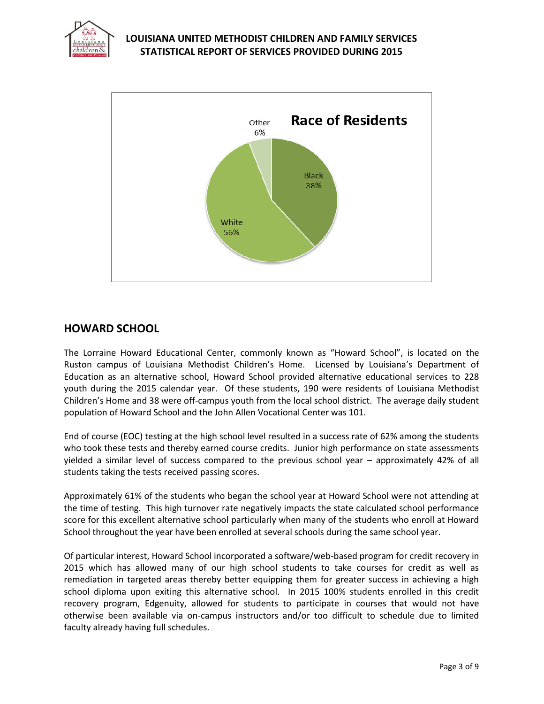



## **HOWARD SCHOOL**

The Lorraine Howard Educational Center, commonly known as "Howard School", is located on the Ruston campus of Louisiana Methodist Children's Home. Licensed by Louisiana's Department of Education as an alternative school, Howard School provided alternative educational services to 228 youth during the 2015 calendar year. Of these students, 190 were residents of Louisiana Methodist Children's Home and 38 were off-campus youth from the local school district. The average daily student population of Howard School and the John Allen Vocational Center was 101.

End of course (EOC) testing at the high school level resulted in a success rate of 62% among the students who took these tests and thereby earned course credits. Junior high performance on state assessments yielded a similar level of success compared to the previous school year – approximately 42% of all students taking the tests received passing scores.

Approximately 61% of the students who began the school year at Howard School were not attending at the time of testing. This high turnover rate negatively impacts the state calculated school performance score for this excellent alternative school particularly when many of the students who enroll at Howard School throughout the year have been enrolled at several schools during the same school year.

Of particular interest, Howard School incorporated a software/web-based program for credit recovery in 2015 which has allowed many of our high school students to take courses for credit as well as remediation in targeted areas thereby better equipping them for greater success in achieving a high school diploma upon exiting this alternative school. In 2015 100% students enrolled in this credit recovery program, Edgenuity, allowed for students to participate in courses that would not have otherwise been available via on-campus instructors and/or too difficult to schedule due to limited faculty already having full schedules.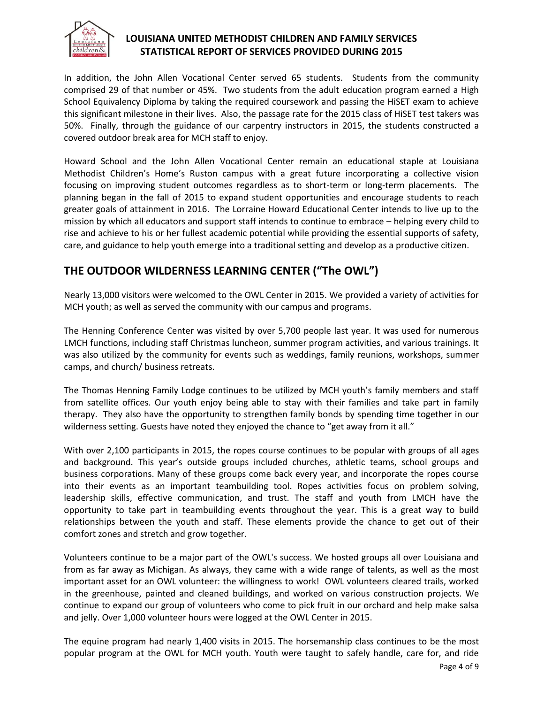

In addition, the John Allen Vocational Center served 65 students. Students from the community comprised 29 of that number or 45%. Two students from the adult education program earned a High School Equivalency Diploma by taking the required coursework and passing the HiSET exam to achieve this significant milestone in their lives. Also, the passage rate for the 2015 class of HiSET test takers was 50%. Finally, through the guidance of our carpentry instructors in 2015, the students constructed a covered outdoor break area for MCH staff to enjoy.

Howard School and the John Allen Vocational Center remain an educational staple at Louisiana Methodist Children's Home's Ruston campus with a great future incorporating a collective vision focusing on improving student outcomes regardless as to short-term or long-term placements. The planning began in the fall of 2015 to expand student opportunities and encourage students to reach greater goals of attainment in 2016. The Lorraine Howard Educational Center intends to live up to the mission by which all educators and support staff intends to continue to embrace – helping every child to rise and achieve to his or her fullest academic potential while providing the essential supports of safety, care, and guidance to help youth emerge into a traditional setting and develop as a productive citizen.

# **THE OUTDOOR WILDERNESS LEARNING CENTER ("The OWL")**

Nearly 13,000 visitors were welcomed to the OWL Center in 2015. We provided a variety of activities for MCH youth; as well as served the community with our campus and programs.

The Henning Conference Center was visited by over 5,700 people last year. It was used for numerous LMCH functions, including staff Christmas luncheon, summer program activities, and various trainings. It was also utilized by the community for events such as weddings, family reunions, workshops, summer camps, and church/ business retreats.

The Thomas Henning Family Lodge continues to be utilized by MCH youth's family members and staff from satellite offices. Our youth enjoy being able to stay with their families and take part in family therapy. They also have the opportunity to strengthen family bonds by spending time together in our wilderness setting. Guests have noted they enjoyed the chance to "get away from it all."

With over 2,100 participants in 2015, the ropes course continues to be popular with groups of all ages and background. This year's outside groups included churches, athletic teams, school groups and business corporations. Many of these groups come back every year, and incorporate the ropes course into their events as an important teambuilding tool. Ropes activities focus on problem solving, leadership skills, effective communication, and trust. The staff and youth from LMCH have the opportunity to take part in teambuilding events throughout the year. This is a great way to build relationships between the youth and staff. These elements provide the chance to get out of their comfort zones and stretch and grow together.

Volunteers continue to be a major part of the OWL's success. We hosted groups all over Louisiana and from as far away as Michigan. As always, they came with a wide range of talents, as well as the most important asset for an OWL volunteer: the willingness to work! OWL volunteers cleared trails, worked in the greenhouse, painted and cleaned buildings, and worked on various construction projects. We continue to expand our group of volunteers who come to pick fruit in our orchard and help make salsa and jelly. Over 1,000 volunteer hours were logged at the OWL Center in 2015.

The equine program had nearly 1,400 visits in 2015. The horsemanship class continues to be the most popular program at the OWL for MCH youth. Youth were taught to safely handle, care for, and ride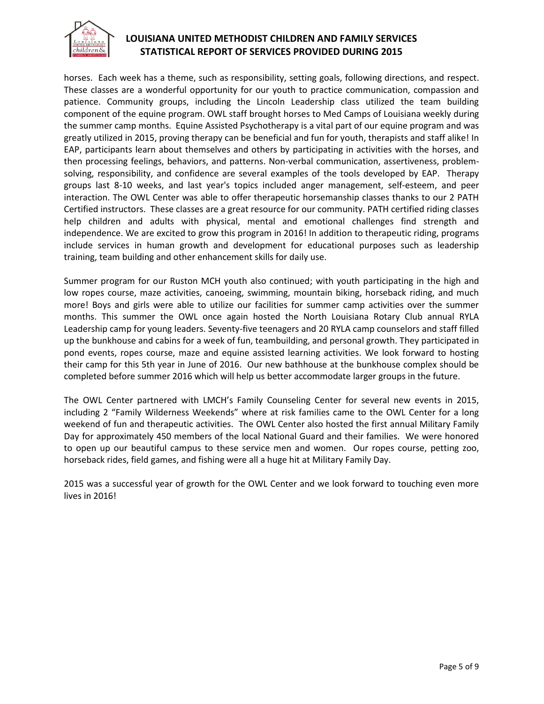

horses. Each week has a theme, such as responsibility, setting goals, following directions, and respect. These classes are a wonderful opportunity for our youth to practice communication, compassion and patience. Community groups, including the Lincoln Leadership class utilized the team building component of the equine program. OWL staff brought horses to Med Camps of Louisiana weekly during the summer camp months. Equine Assisted Psychotherapy is a vital part of our equine program and was greatly utilized in 2015, proving therapy can be beneficial and fun for youth, therapists and staff alike! In EAP, participants learn about themselves and others by participating in activities with the horses, and then processing feelings, behaviors, and patterns. Non-verbal communication, assertiveness, problemsolving, responsibility, and confidence are several examples of the tools developed by EAP. Therapy groups last 8-10 weeks, and last year's topics included anger management, self-esteem, and peer interaction. The OWL Center was able to offer therapeutic horsemanship classes thanks to our 2 PATH Certified instructors. These classes are a great resource for our community. PATH certified riding classes help children and adults with physical, mental and emotional challenges find strength and independence. We are excited to grow this program in 2016! In addition to therapeutic riding, programs include services in human growth and development for educational purposes such as leadership training, team building and other enhancement skills for daily use.

Summer program for our Ruston MCH youth also continued; with youth participating in the high and low ropes course, maze activities, canoeing, swimming, mountain biking, horseback riding, and much more! Boys and girls were able to utilize our facilities for summer camp activities over the summer months. This summer the OWL once again hosted the North Louisiana Rotary Club annual RYLA Leadership camp for young leaders. Seventy-five teenagers and 20 RYLA camp counselors and staff filled up the bunkhouse and cabins for a week of fun, teambuilding, and personal growth. They participated in pond events, ropes course, maze and equine assisted learning activities. We look forward to hosting their camp for this 5th year in June of 2016. Our new bathhouse at the bunkhouse complex should be completed before summer 2016 which will help us better accommodate larger groups in the future.

The OWL Center partnered with LMCH's Family Counseling Center for several new events in 2015, including 2 "Family Wilderness Weekends" where at risk families came to the OWL Center for a long weekend of fun and therapeutic activities. The OWL Center also hosted the first annual Military Family Day for approximately 450 members of the local National Guard and their families. We were honored to open up our beautiful campus to these service men and women. Our ropes course, petting zoo, horseback rides, field games, and fishing were all a huge hit at Military Family Day.

2015 was a successful year of growth for the OWL Center and we look forward to touching even more lives in 2016!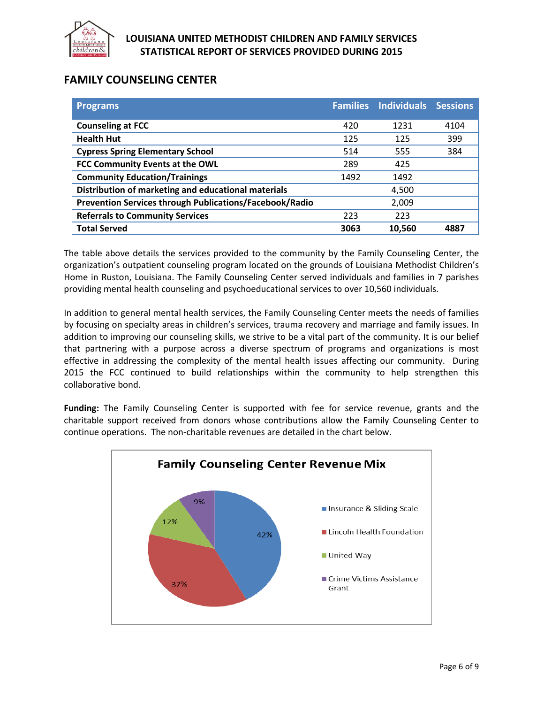

# **FAMILY COUNSELING CENTER**

| <b>Programs</b>                                                | <b>Families</b> | <b>Individuals</b> | <b>Sessions</b> |
|----------------------------------------------------------------|-----------------|--------------------|-----------------|
| <b>Counseling at FCC</b>                                       | 420             | 1231               | 4104            |
|                                                                |                 |                    |                 |
| <b>Health Hut</b>                                              | 125             | 125                | 399             |
| <b>Cypress Spring Elementary School</b>                        | 514             | 555                | 384             |
| FCC Community Events at the OWL                                | 289             | 425                |                 |
| <b>Community Education/Trainings</b>                           | 1492            | 1492               |                 |
| Distribution of marketing and educational materials            |                 | 4,500              |                 |
| <b>Prevention Services through Publications/Facebook/Radio</b> |                 | 2,009              |                 |
| <b>Referrals to Community Services</b>                         | 223             | 223                |                 |
| <b>Total Served</b>                                            | 3063            | 10,560             | 4887            |

The table above details the services provided to the community by the Family Counseling Center, the organization's outpatient counseling program located on the grounds of Louisiana Methodist Children's Home in Ruston, Louisiana. The Family Counseling Center served individuals and families in 7 parishes providing mental health counseling and psychoeducational services to over 10,560 individuals.

In addition to general mental health services, the Family Counseling Center meets the needs of families by focusing on specialty areas in children's services, trauma recovery and marriage and family issues. In addition to improving our counseling skills, we strive to be a vital part of the community. It is our belief that partnering with a purpose across a diverse spectrum of programs and organizations is most effective in addressing the complexity of the mental health issues affecting our community. During 2015 the FCC continued to build relationships within the community to help strengthen this collaborative bond.

**Funding:** The Family Counseling Center is supported with fee for service revenue, grants and the charitable support received from donors whose contributions allow the Family Counseling Center to continue operations. The non-charitable revenues are detailed in the chart below.

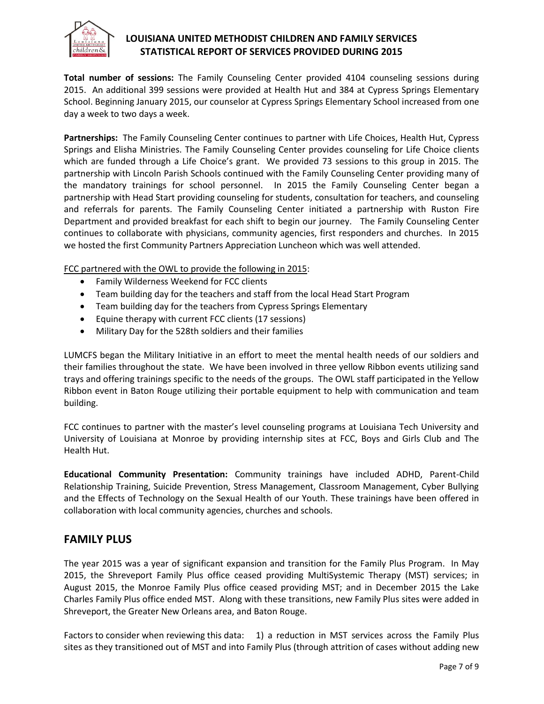

**Total number of sessions:** The Family Counseling Center provided 4104 counseling sessions during 2015. An additional 399 sessions were provided at Health Hut and 384 at Cypress Springs Elementary School. Beginning January 2015, our counselor at Cypress Springs Elementary School increased from one day a week to two days a week.

**Partnerships:** The Family Counseling Center continues to partner with Life Choices, Health Hut, Cypress Springs and Elisha Ministries. The Family Counseling Center provides counseling for Life Choice clients which are funded through a Life Choice's grant. We provided 73 sessions to this group in 2015. The partnership with Lincoln Parish Schools continued with the Family Counseling Center providing many of the mandatory trainings for school personnel. In 2015 the Family Counseling Center began a partnership with Head Start providing counseling for students, consultation for teachers, and counseling and referrals for parents. The Family Counseling Center initiated a partnership with Ruston Fire Department and provided breakfast for each shift to begin our journey. The Family Counseling Center continues to collaborate with physicians, community agencies, first responders and churches. In 2015 we hosted the first Community Partners Appreciation Luncheon which was well attended.

FCC partnered with the OWL to provide the following in 2015:

- Family Wilderness Weekend for FCC clients
- Team building day for the teachers and staff from the local Head Start Program
- Team building day for the teachers from Cypress Springs Elementary
- Equine therapy with current FCC clients (17 sessions)
- Military Day for the 528th soldiers and their families

LUMCFS began the Military Initiative in an effort to meet the mental health needs of our soldiers and their families throughout the state. We have been involved in three yellow Ribbon events utilizing sand trays and offering trainings specific to the needs of the groups. The OWL staff participated in the Yellow Ribbon event in Baton Rouge utilizing their portable equipment to help with communication and team building.

FCC continues to partner with the master's level counseling programs at Louisiana Tech University and University of Louisiana at Monroe by providing internship sites at FCC, Boys and Girls Club and The Health Hut.

**Educational Community Presentation:** Community trainings have included ADHD, Parent-Child Relationship Training, Suicide Prevention, Stress Management, Classroom Management, Cyber Bullying and the Effects of Technology on the Sexual Health of our Youth. These trainings have been offered in collaboration with local community agencies, churches and schools.

### **FAMILY PLUS**

The year 2015 was a year of significant expansion and transition for the Family Plus Program. In May 2015, the Shreveport Family Plus office ceased providing MultiSystemic Therapy (MST) services; in August 2015, the Monroe Family Plus office ceased providing MST; and in December 2015 the Lake Charles Family Plus office ended MST. Along with these transitions, new Family Plus sites were added in Shreveport, the Greater New Orleans area, and Baton Rouge.

Factors to consider when reviewing this data: 1) a reduction in MST services across the Family Plus sites as they transitioned out of MST and into Family Plus (through attrition of cases without adding new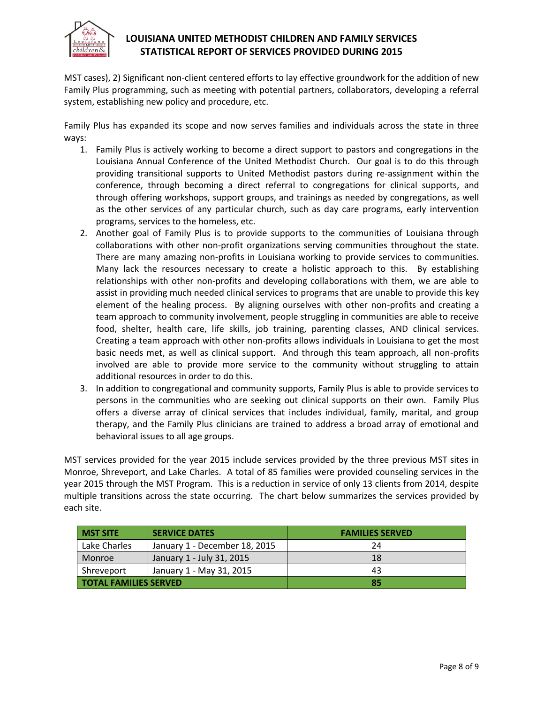

MST cases), 2) Significant non-client centered efforts to lay effective groundwork for the addition of new Family Plus programming, such as meeting with potential partners, collaborators, developing a referral system, establishing new policy and procedure, etc.

Family Plus has expanded its scope and now serves families and individuals across the state in three ways:

- 1. Family Plus is actively working to become a direct support to pastors and congregations in the Louisiana Annual Conference of the United Methodist Church. Our goal is to do this through providing transitional supports to United Methodist pastors during re-assignment within the conference, through becoming a direct referral to congregations for clinical supports, and through offering workshops, support groups, and trainings as needed by congregations, as well as the other services of any particular church, such as day care programs, early intervention programs, services to the homeless, etc.
- 2. Another goal of Family Plus is to provide supports to the communities of Louisiana through collaborations with other non-profit organizations serving communities throughout the state. There are many amazing non-profits in Louisiana working to provide services to communities. Many lack the resources necessary to create a holistic approach to this. By establishing relationships with other non-profits and developing collaborations with them, we are able to assist in providing much needed clinical services to programs that are unable to provide this key element of the healing process. By aligning ourselves with other non-profits and creating a team approach to community involvement, people struggling in communities are able to receive food, shelter, health care, life skills, job training, parenting classes, AND clinical services. Creating a team approach with other non-profits allows individuals in Louisiana to get the most basic needs met, as well as clinical support. And through this team approach, all non-profits involved are able to provide more service to the community without struggling to attain additional resources in order to do this.
- 3. In addition to congregational and community supports, Family Plus is able to provide services to persons in the communities who are seeking out clinical supports on their own. Family Plus offers a diverse array of clinical services that includes individual, family, marital, and group therapy, and the Family Plus clinicians are trained to address a broad array of emotional and behavioral issues to all age groups.

MST services provided for the year 2015 include services provided by the three previous MST sites in Monroe, Shreveport, and Lake Charles. A total of 85 families were provided counseling services in the year 2015 through the MST Program. This is a reduction in service of only 13 clients from 2014, despite multiple transitions across the state occurring. The chart below summarizes the services provided by each site.

| <b>MST SITE</b>              | <b>SERVICE DATES</b>          | <b>FAMILIES SERVED</b> |
|------------------------------|-------------------------------|------------------------|
| Lake Charles                 | January 1 - December 18, 2015 | 24                     |
| Monroe                       | January 1 - July 31, 2015     | 18                     |
| Shreveport                   | January 1 - May 31, 2015      | 43                     |
| <b>TOTAL FAMILIES SERVED</b> |                               | 85                     |